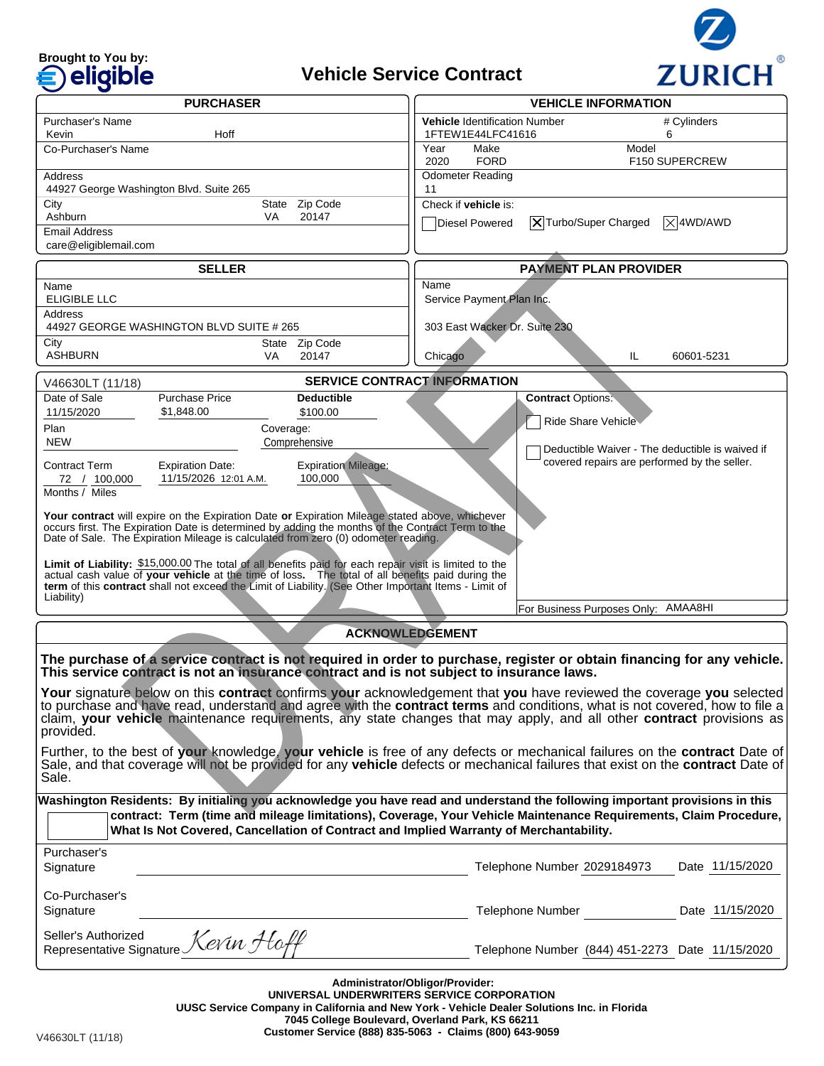# **Brought to You by:**

# **Vehicle Service Contract**



| <b>PURCHASER</b>                                                                                                                                                                                                                                          |                                                            |                               | <b>VEHICLE INFORMATION</b>                                |                                                 |                    |
|-----------------------------------------------------------------------------------------------------------------------------------------------------------------------------------------------------------------------------------------------------------|------------------------------------------------------------|-------------------------------|-----------------------------------------------------------|-------------------------------------------------|--------------------|
| Purchaser's Name                                                                                                                                                                                                                                          |                                                            |                               | <b>Vehicle Identification Number</b><br>1FTEW1E44LFC41616 |                                                 | # Cylinders<br>6   |
| Hoff<br>Kevin<br>Co-Purchaser's Name                                                                                                                                                                                                                      |                                                            |                               | Year<br>Make                                              | Model                                           |                    |
|                                                                                                                                                                                                                                                           |                                                            |                               | <b>FORD</b><br>2020                                       |                                                 | F150 SUPERCREW     |
| Address                                                                                                                                                                                                                                                   | 44927 George Washington Blvd. Suite 265                    |                               | <b>Odometer Reading</b><br>11                             |                                                 |                    |
| State Zip Code<br>City                                                                                                                                                                                                                                    |                                                            |                               | Check if vehicle is:                                      |                                                 |                    |
| Ashburn<br>Email Address                                                                                                                                                                                                                                  | VA                                                         | 20147                         | Diesel Powered                                            | $ \mathsf{X} $ Turbo/Super Charged              | $ \times $ 4WD/AWD |
| care@eligiblemail.com                                                                                                                                                                                                                                     |                                                            |                               |                                                           |                                                 |                    |
| <b>SELLER</b>                                                                                                                                                                                                                                             |                                                            |                               | <b>PAYMENT PLAN PROVIDER</b>                              |                                                 |                    |
| Name                                                                                                                                                                                                                                                      |                                                            |                               | Name                                                      |                                                 |                    |
| <b>ELIGIBLE LLC</b><br>Service Payment Plan Inc.<br>Address                                                                                                                                                                                               |                                                            |                               |                                                           |                                                 |                    |
|                                                                                                                                                                                                                                                           | 44927 GEORGE WASHINGTON BLVD SUITE # 265                   |                               | 303 East Wacker Dr. Suite 230                             |                                                 |                    |
| City<br><b>ASHBURN</b>                                                                                                                                                                                                                                    | VA                                                         | State Zip Code<br>20147       | Chicago                                                   | IL.                                             | 60601-5231         |
|                                                                                                                                                                                                                                                           |                                                            |                               |                                                           |                                                 |                    |
| <b>SERVICE CONTRACT INFORMATION</b><br>V46630LT (11/18)<br>Date of Sale<br><b>Purchase Price</b>                                                                                                                                                          |                                                            |                               |                                                           |                                                 |                    |
| 11/15/2020                                                                                                                                                                                                                                                | \$1,848.00                                                 | <b>Deductible</b><br>\$100.00 |                                                           | <b>Contract Options:</b>                        |                    |
| Plan                                                                                                                                                                                                                                                      | Coverage:                                                  |                               |                                                           | Ride Share Vehicle                              |                    |
| <b>NEW</b>                                                                                                                                                                                                                                                |                                                            | Comprehensive                 |                                                           | Deductible Waiver - The deductible is waived if |                    |
| Contract Term                                                                                                                                                                                                                                             | <b>Expiration Date:</b>                                    | <b>Expiration Mileage:</b>    |                                                           | covered repairs are performed by the seller.    |                    |
| 72 / 100.000<br>Months $\overline{7}$ Miles                                                                                                                                                                                                               | 11/15/2026 12:01 A.M.                                      | 100,000                       |                                                           |                                                 |                    |
| Your contract will expire on the Expiration Date or Expiration Mileage stated above, whichever                                                                                                                                                            |                                                            |                               |                                                           |                                                 |                    |
| occurs first. The Expiration Date is determined by adding the months of the Contract Term to the<br>Date of Sale. The Expiration Mileage is calculated from zero (0) odometer reading.                                                                    |                                                            |                               |                                                           |                                                 |                    |
|                                                                                                                                                                                                                                                           |                                                            |                               |                                                           |                                                 |                    |
| Limit of Liability: \$15,000.00 The total of all benefits paid for each repair visit is limited to the<br>actual cash value of your vehicle at the time of loss. The total of all benefits paid during the                                                |                                                            |                               |                                                           |                                                 |                    |
| term of this contract shall not exceed the Limit of Liability. (See Other Important Items - Limit of<br>Liability)                                                                                                                                        |                                                            |                               |                                                           |                                                 |                    |
|                                                                                                                                                                                                                                                           |                                                            |                               |                                                           | For Business Purposes Only: AMAA8HI             |                    |
| <b>ACKNOWLEDGEMENT</b>                                                                                                                                                                                                                                    |                                                            |                               |                                                           |                                                 |                    |
| The purchase of a service contract is not required in order to purchase, register or obtain financing for any vehicle.                                                                                                                                    |                                                            |                               |                                                           |                                                 |                    |
| This service contract is not an insurance contract and is not subject to insurance laws.                                                                                                                                                                  |                                                            |                               |                                                           |                                                 |                    |
| Your signature below on this contract confirms your acknowledgement that you have reviewed the coverage you selected                                                                                                                                      |                                                            |                               |                                                           |                                                 |                    |
| to purchase and have read, understand and agree with the <b>contract terms</b> and conditions, what is not covered, how to file a<br>claim, your vehicle maintenance requirements, any state changes that may apply, and all other contract provisions as |                                                            |                               |                                                           |                                                 |                    |
| provided.                                                                                                                                                                                                                                                 |                                                            |                               |                                                           |                                                 |                    |
| Further, to the best of your knowledge, your vehicle is free of any defects or mechanical failures on the contract Date of                                                                                                                                |                                                            |                               |                                                           |                                                 |                    |
| Sale, and that coverage will not be provided for any vehicle defects or mechanical failures that exist on the contract Date of<br>Sale.                                                                                                                   |                                                            |                               |                                                           |                                                 |                    |
| Washington Residents: By initialing you acknowledge you have read and understand the following important provisions in this                                                                                                                               |                                                            |                               |                                                           |                                                 |                    |
| contract: Term (time and mileage limitations), Coverage, Your Vehicle Maintenance Requirements, Claim Procedure,                                                                                                                                          |                                                            |                               |                                                           |                                                 |                    |
| What Is Not Covered, Cancellation of Contract and Implied Warranty of Merchantability.                                                                                                                                                                    |                                                            |                               |                                                           |                                                 |                    |
| Purchaser's                                                                                                                                                                                                                                               |                                                            |                               |                                                           |                                                 |                    |
| Signature                                                                                                                                                                                                                                                 |                                                            |                               |                                                           | Telephone Number 2029184973                     | Date 11/15/2020    |
| Co-Purchaser's                                                                                                                                                                                                                                            |                                                            |                               |                                                           |                                                 |                    |
| Signature                                                                                                                                                                                                                                                 |                                                            |                               |                                                           | Telephone Number                                | Date 11/15/2020    |
|                                                                                                                                                                                                                                                           | Selver's Authorized<br>Representative Signature Kevin Hoff |                               |                                                           |                                                 |                    |
|                                                                                                                                                                                                                                                           |                                                            |                               |                                                           | Telephone Number (844) 451-2273 Date 11/15/2020 |                    |
|                                                                                                                                                                                                                                                           |                                                            |                               |                                                           |                                                 |                    |
| Administrator/Obligor/Provider:                                                                                                                                                                                                                           |                                                            |                               |                                                           |                                                 |                    |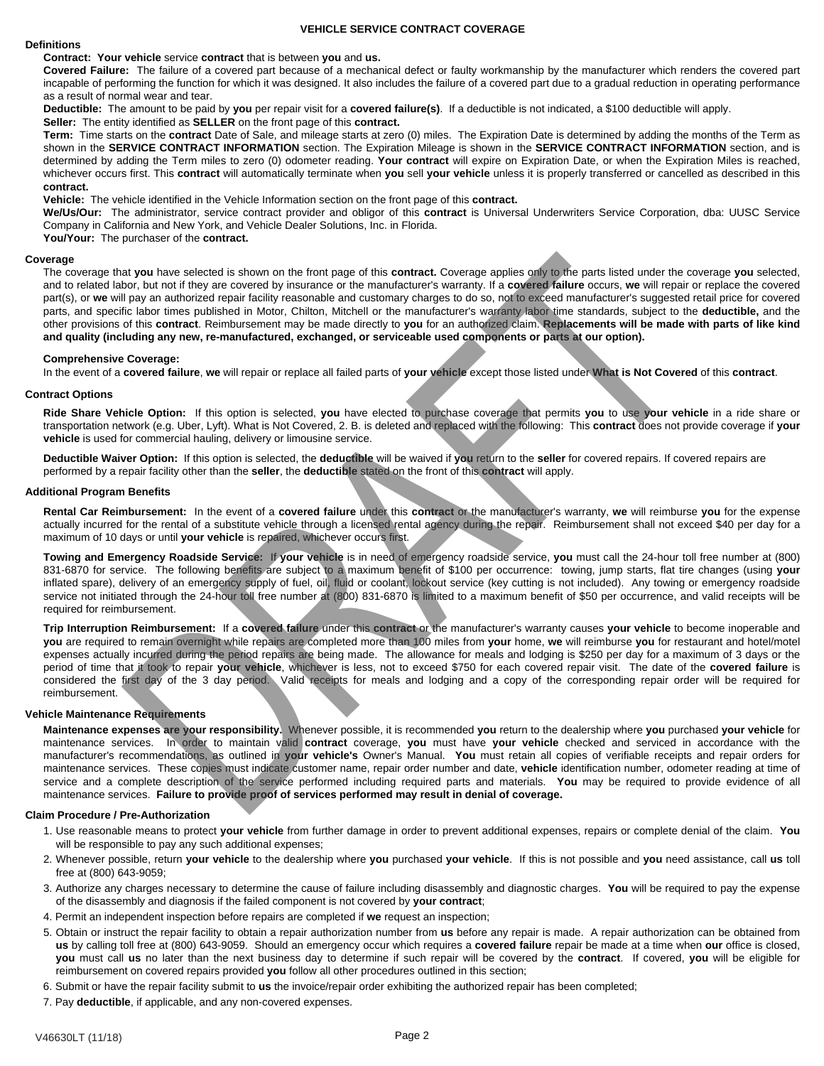#### **VEHICLE SERVICE CONTRACT COVERAGE**

#### **Definitions**

**Contract: Your vehicle** service **contract** that is between **you** and **us.** 

**Covered Failure:** The failure of a covered part because of a mechanical defect or faulty workmanship by the manufacturer which renders the covered part incapable of performing the function for which it was designed. It also includes the failure of a covered part due to a gradual reduction in operating performance as a result of normal wear and tear.

**Deductible:** The amount to be paid by **you** per repair visit for a **covered failure(s)**. If a deductible is not indicated, a \$100 deductible will apply.

**Seller:** The entity identified as **SELLER** on the front page of this **contract.** 

**Term:** Time starts on the **contract** Date of Sale, and mileage starts at zero (0) miles. The Expiration Date is determined by adding the months of the Term as shown in the **SERVICE CONTRACT INFORMATION** section. The Expiration Mileage is shown in the **SERVICE CONTRACT INFORMATION** section, and is determined by adding the Term miles to zero (0) odometer reading. **Your contract** will expire on Expiration Date, or when the Expiration Miles is reached, whichever occurs first. This **contract** will automatically terminate when **you** sell **your vehicle** unless it is properly transferred or cancelled as described in this **contract.** 

**Vehicle:** The vehicle identified in the Vehicle Information section on the front page of this **contract.** 

**We/Us/Our:** The administrator, service contract provider and obligor of this **contract** is Universal Underwriters Service Corporation, dba: UUSC Service Company in California and New York, and Vehicle Dealer Solutions, Inc. in Florida.

**You/Your:** The purchaser of the **contract.** 

#### **Coverage**

The coverage that **you** have selected is shown on the front page of this **contract.** Coverage applies only to the parts listed under the coverage **you** selected, and to related labor, but not if they are covered by insurance or the manufacturer's warranty. If a **covered failure** occurs, **we** will repair or replace the covered part(s), or **we** will pay an authorized repair facility reasonable and customary charges to do so, not to exceed manufacturer's suggested retail price for covered parts, and specific labor times published in Motor, Chilton, Mitchell or the manufacturer's warranty labor time standards, subject to the **deductible,** and the other provisions of this **contract**. Reimbursement may be made directly to **you** for an authorized claim. **Replacements will be made with parts of like kind and quality (including any new, re-manufactured, exchanged, or serviceable used components or parts at our option).** 

#### **Comprehensive Coverage:**

In the event of a **covered failure**, **we** will repair or replace all failed parts of **your vehicle** except those listed under **What is Not Covered** of this **contract**.

#### **Contract Options**

**Ride Share Vehicle Option:** If this option is selected, **you** have elected to purchase coverage that permits **you** to use **your vehicle** in a ride share or transportation network (e.g. Uber, Lyft). What is Not Covered, 2. B. is deleted and replaced with the following: This **contract** does not provide coverage if **your vehicle** is used for commercial hauling, delivery or limousine service.

**Deductible Waiver Option:** If this option is selected, the **deductible** will be waived if **you** return to the **seller** for covered repairs. If covered repairs are performed by a repair facility other than the **seller**, the **deductible** stated on the front of this **contract** will apply.

#### **Additional Program Benefits**

**Rental Car Reimbursement:** In the event of a **covered failure** under this **contract** or the manufacturer's warranty, **we** will reimburse **you** for the expense actually incurred for the rental of a substitute vehicle through a licensed rental agency during the repair. Reimbursement shall not exceed \$40 per day for a maximum of 10 days or until **your vehicle** is repaired, whichever occurs first.

**Towing and Emergency Roadside Service:** If **your vehicle** is in need of emergency roadside service, **you** must call the 24-hour toll free number at (800) 831-6870 for service. The following benefits are subject to a maximum benefit of \$100 per occurrence: towing, jump starts, flat tire changes (using **your**  inflated spare), delivery of an emergency supply of fuel, oil, fluid or coolant, lockout service (key cutting is not included). Any towing or emergency roadside service not initiated through the 24-hour toll free number at (800) 831-6870 is limited to a maximum benefit of \$50 per occurrence, and valid receipts will be required for reimbursement.

**Trip Interruption Reimbursement:** If a **covered failure** under this **contract** or the manufacturer's warranty causes **your vehicle** to become inoperable and **you** are required to remain overnight while repairs are completed more than 100 miles from **your** home, **we** will reimburse **you** for restaurant and hotel/motel expenses actually incurred during the period repairs are being made. The allowance for meals and lodging is \$250 per day for a maximum of 3 days or the period of time that it took to repair **your vehicle**, whichever is less, not to exceed \$750 for each covered repair visit. The date of the **covered failure** is considered the first day of the 3 day period. Valid receipts for meals and lodging and a copy of the corresponding repair order will be required for reimbursement.

#### **Vehicle Maintenance Requirements**

**Maintenance expenses are your responsibility.** Whenever possible, it is recommended **you** return to the dealership where **you** purchased **your vehicle** for maintenance services. In order to maintain valid **contract** coverage, **you** must have **your vehicle** checked and serviced in accordance with the manufacturer's recommendations, as outlined in **your vehicle's** Owner's Manual. **You** must retain all copies of verifiable receipts and repair orders for maintenance services. These copies must indicate customer name, repair order number and date, **vehicle** identification number, odometer reading at time of service and a complete description of the service performed including required parts and materials. **You** may be required to provide evidence of all maintenance services. **Failure to provide proof of services performed may result in denial of coverage.**

#### **Claim Procedure / Pre-Authorization**

- 1. Use reasonable means to protect **your vehicle** from further damage in order to prevent additional expenses, repairs or complete denial of the claim. **You** will be responsible to pay any such additional expenses;
- 2. Whenever possible, return **your vehicle** to the dealership where **you** purchased **your vehicle**. If this is not possible and **you** need assistance, call **us** toll free at (800) 643-9059;
- 3. Authorize any charges necessary to determine the cause of failure including disassembly and diagnostic charges. **You** will be required to pay the expense of the disassembly and diagnosis if the failed component is not covered by **your contract**;
- 4. Permit an independent inspection before repairs are completed if **we** request an inspection;
- 5. Obtain or instruct the repair facility to obtain a repair authorization number from **us** before any repair is made. A repair authorization can be obtained from **us** by calling toll free at (800) 643-9059. Should an emergency occur which requires a **covered failure** repair be made at a time when **our** office is closed, **you** must call **us** no later than the next business day to determine if such repair will be covered by the **contract**. If covered, **you** will be eligible for reimbursement on covered repairs provided **you** follow all other procedures outlined in this section;
- 6. Submit or have the repair facility submit to **us** the invoice/repair order exhibiting the authorized repair has been completed;
- 7. Pay **deductible**, if applicable, and any non-covered expenses.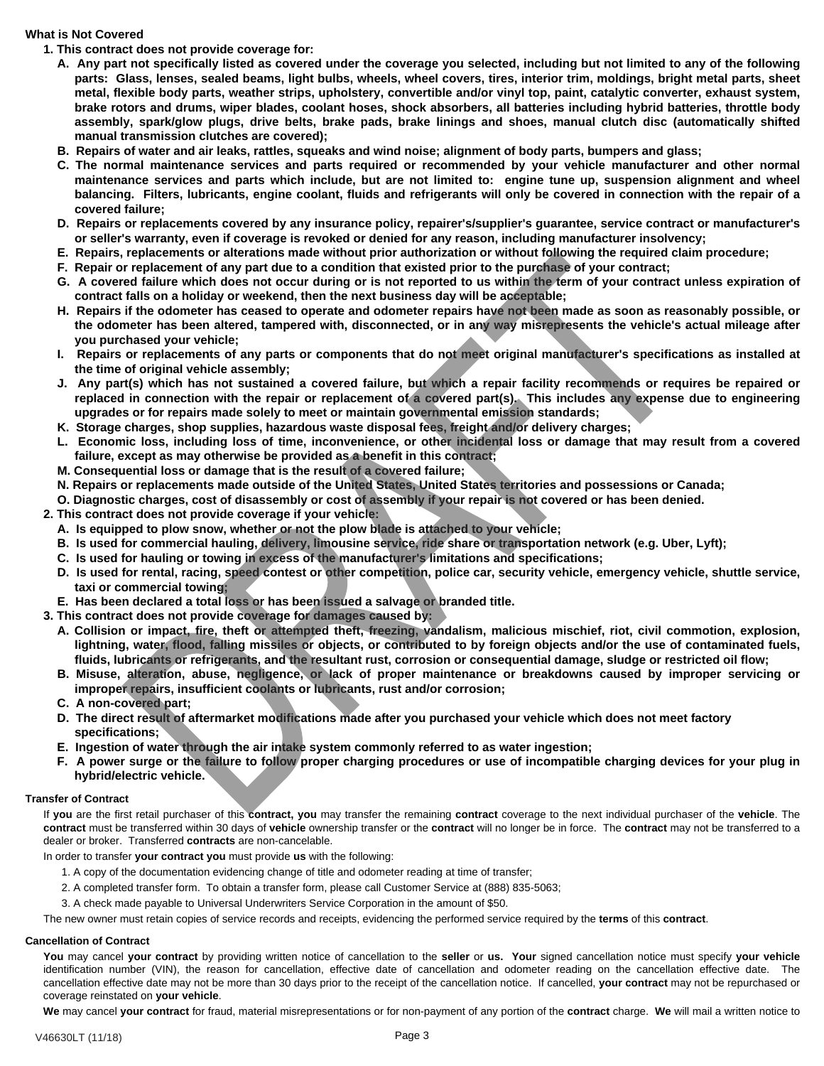# **What is Not Covered**

- **1. This contract does not provide coverage for:** 
	- **A. Any part not specifically listed as covered under the coverage you selected, including but not limited to any of the following parts: Glass, lenses, sealed beams, light bulbs, wheels, wheel covers, tires, interior trim, moldings, bright metal parts, sheet metal, flexible body parts, weather strips, upholstery, convertible and/or vinyl top, paint, catalytic converter, exhaust system, brake rotors and drums, wiper blades, coolant hoses, shock absorbers, all batteries including hybrid batteries, throttle body assembly, spark/glow plugs, drive belts, brake pads, brake linings and shoes, manual clutch disc (automatically shifted manual transmission clutches are covered);**
	- **B. Repairs of water and air leaks, rattles, squeaks and wind noise; alignment of body parts, bumpers and glass;**
	- **C. The normal maintenance services and parts required or recommended by your vehicle manufacturer and other normal maintenance services and parts which include, but are not limited to: engine tune up, suspension alignment and wheel balancing. Filters, lubricants, engine coolant, fluids and refrigerants will only be covered in connection with the repair of a covered failure;**
	- **D. Repairs or replacements covered by any insurance policy, repairer's/supplier's guarantee, service contract or manufacturer's or seller's warranty, even if coverage is revoked or denied for any reason, including manufacturer insolvency;**
	- **E. Repairs, replacements or alterations made without prior authorization or without following the required claim procedure;**
	- **F. Repair or replacement of any part due to a condition that existed prior to the purchase of your contract;**
	- G. A covered failure which does not occur during or is not reported to us within the term of your contract unless expiration of **contract falls on a holiday or weekend, then the next business day will be acceptable;**
	- **H. Repairs if the odometer has ceased to operate and odometer repairs have not been made as soon as reasonably possible, or the odometer has been altered, tampered with, disconnected, or in any way misrepresents the vehicle's actual mileage after you purchased your vehicle;**
	- **I. Repairs or replacements of any parts or components that do not meet original manufacturer's specifications as installed at the time of original vehicle assembly;**
	- **J. Any part(s) which has not sustained a covered failure, but which a repair facility recommends or requires be repaired or replaced in connection with the repair or replacement of a covered part(s). This includes any expense due to engineering upgrades or for repairs made solely to meet or maintain governmental emission standards;**
	- **K. Storage charges, shop supplies, hazardous waste disposal fees, freight and/or delivery charges;**
	- **L. Economic loss, including loss of time, inconvenience, or other incidental loss or damage that may result from a covered failure, except as may otherwise be provided as a benefit in this contract;**
	- **M. Consequential loss or damage that is the result of a covered failure;**
	- **N. Repairs or replacements made outside of the United States, United States territories and possessions or Canada;**
	- **O. Diagnostic charges, cost of disassembly or cost of assembly if your repair is not covered or has been denied.**
- **2. This contract does not provide coverage if your vehicle:** 
	- **A. Is equipped to plow snow, whether or not the plow blade is attached to your vehicle;**
	- **B. Is used for commercial hauling, delivery, limousine service, ride share or transportation network (e.g. Uber, Lyft);**
	- **C. Is used for hauling or towing in excess of the manufacturer's limitations and specifications;**
	- **D. Is used for rental, racing, speed contest or other competition, police car, security vehicle, emergency vehicle, shuttle service, taxi or commercial towing;**
- **E. Has been declared a total loss or has been issued a salvage or branded title.**
- **3. This contract does not provide coverage for damages caused by:** 
	- **A. Collision or impact, fire, theft or attempted theft, freezing, vandalism, malicious mischief, riot, civil commotion, explosion, lightning, water, flood, falling missiles or objects, or contributed to by foreign objects and/or the use of contaminated fuels, fluids, lubricants or refrigerants, and the resultant rust, corrosion or consequential damage, sludge or restricted oil flow;**
	- **B. Misuse, alteration, abuse, negligence, or lack of proper maintenance or breakdowns caused by improper servicing or improper repairs, insufficient coolants or lubricants, rust and/or corrosion;**
	- **C. A non-covered part;**
	- **D. The direct result of aftermarket modifications made after you purchased your vehicle which does not meet factory specifications;**
	- **E. Ingestion of water through the air intake system commonly referred to as water ingestion;**
	- **F. A power surge or the failure to follow proper charging procedures or use of incompatible charging devices for your plug in hybrid/electric vehicle.**

## **Transfer of Contract**

If **you** are the first retail purchaser of this **contract, you** may transfer the remaining **contract** coverage to the next individual purchaser of the **vehicle**. The **contract** must be transferred within 30 days of **vehicle** ownership transfer or the **contract** will no longer be in force. The **contract** may not be transferred to a dealer or broker. Transferred **contracts** are non-cancelable.

In order to transfer **your contract you** must provide **us** with the following:

- 1. A copy of the documentation evidencing change of title and odometer reading at time of transfer;
- 2. A completed transfer form. To obtain a transfer form, please call Customer Service at (888) 835-5063;
- 3. A check made payable to Universal Underwriters Service Corporation in the amount of \$50.

The new owner must retain copies of service records and receipts, evidencing the performed service required by the **terms** of this **contract**.

# **Cancellation of Contract**

**You** may cancel **your contract** by providing written notice of cancellation to the **seller** or **us. Your** signed cancellation notice must specify **your vehicle** identification number (VIN), the reason for cancellation, effective date of cancellation and odometer reading on the cancellation effective date. The cancellation effective date may not be more than 30 days prior to the receipt of the cancellation notice. If cancelled, **your contract** may not be repurchased or coverage reinstated on **your vehicle**.

**We** may cancel **your contract** for fraud, material misrepresentations or for non-payment of any portion of the **contract** charge. **We** will mail a written notice to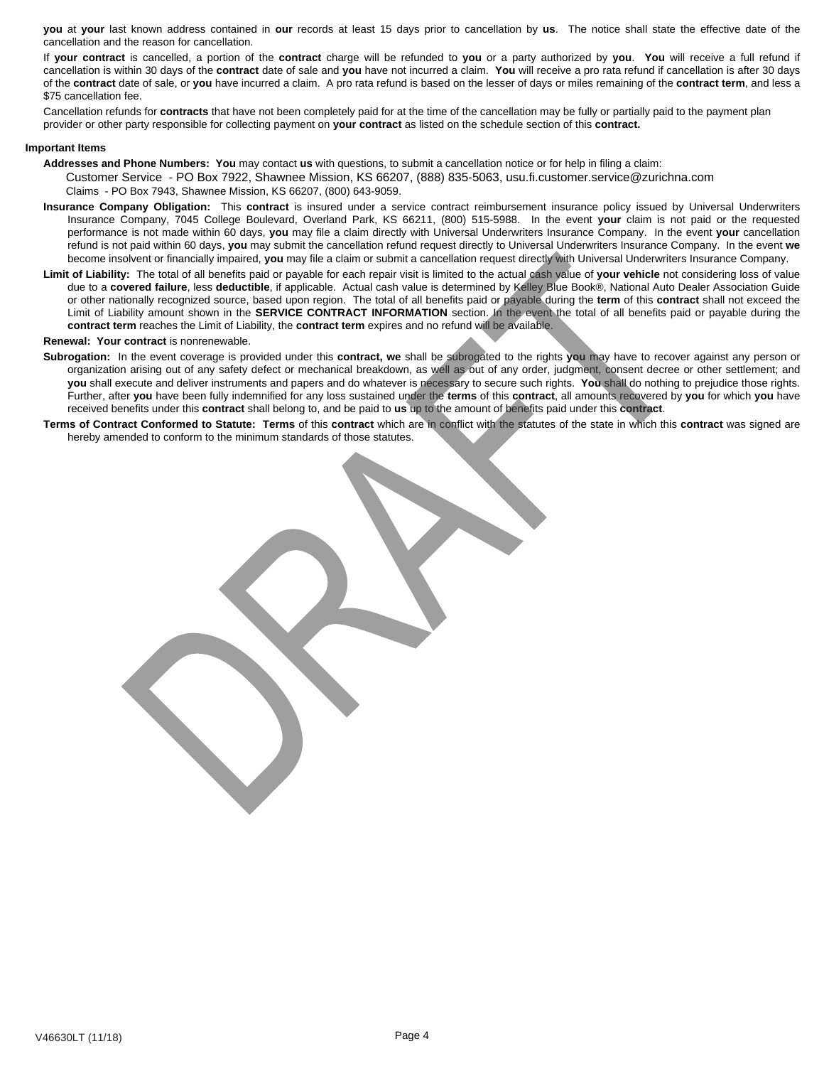**you** at **your** last known address contained in **our** records at least 15 days prior to cancellation by **us**. The notice shall state the effective date of the cancellation and the reason for cancellation.

If **your contract** is cancelled, a portion of the **contract** charge will be refunded to **you** or a party authorized by **you**. **You** will receive a full refund if cancellation is within 30 days of the **contract** date of sale and **you** have not incurred a claim. **You** will receive a pro rata refund if cancellation is after 30 days of the **contract** date of sale, or **you** have incurred a claim. A pro rata refund is based on the lesser of days or miles remaining of the **contract term**, and less a \$75 cancellation fee.

Cancellation refunds for **contracts** that have not been completely paid for at the time of the cancellation may be fully or partially paid to the payment plan provider or other party responsible for collecting payment on **your contract** as listed on the schedule section of this **contract.**

#### **Important Items**

- **Addresses and Phone Numbers: You** may contact **us** with questions, to submit a cancellation notice or for help in filing a claim: Customer Service - PO Box 7922, Shawnee Mission, KS 66207, (888) 835-5063, usu.fi.customer.service@zurichna.com Claims - PO Box 7943, Shawnee Mission, KS 66207, (800) 643-9059.
- **Insurance Company Obligation:** This **contract** is insured under a service contract reimbursement insurance policy issued by Universal Underwriters Insurance Company, 7045 College Boulevard, Overland Park, KS 66211, (800) 515-5988. In the event **your** claim is not paid or the requested performance is not made within 60 days, **you** may file a claim directly with Universal Underwriters Insurance Company. In the event **your** cancellation refund is not paid within 60 days, **you** may submit the cancellation refund request directly to Universal Underwriters Insurance Company. In the event **we** become insolvent or financially impaired, **you** may file a claim or submit a cancellation request directly with Universal Underwriters Insurance Company.
- **Limit of Liability:** The total of all benefits paid or payable for each repair visit is limited to the actual cash value of **your vehicle** not considering loss of value due to a **covered failure**, less **deductible**, if applicable. Actual cash value is determined by Kelley Blue Book®, National Auto Dealer Association Guide or other nationally recognized source, based upon region. The total of all benefits paid or payable during the **term** of this **contract** shall not exceed the Limit of Liability amount shown in the **SERVICE CONTRACT INFORMATION** section. In the event the total of all benefits paid or payable during the **contract term** reaches the Limit of Liability, the **contract term** expires and no refund will be available.

#### **Renewal: Your contract** is nonrenewable.

- **Subrogation:** In the event coverage is provided under this **contract, we** shall be subrogated to the rights **you** may have to recover against any person or organization arising out of any safety defect or mechanical breakdown, as well as out of any order, judgment, consent decree or other settlement; and **you** shall execute and deliver instruments and papers and do whatever is necessary to secure such rights. **You** shall do nothing to prejudice those rights. Further, after **you** have been fully indemnified for any loss sustained under the **terms** of this **contract**, all amounts recovered by **you** for which **you** have received benefits under this **contract** shall belong to, and be paid to **us** up to the amount of benefits paid under this **contract**.
- **Terms of Contract Conformed to Statute: Terms** of this **contract** which are in conflict with the statutes of the state in which this **contract** was signed are hereby amended to conform to the minimum standards of those statutes.